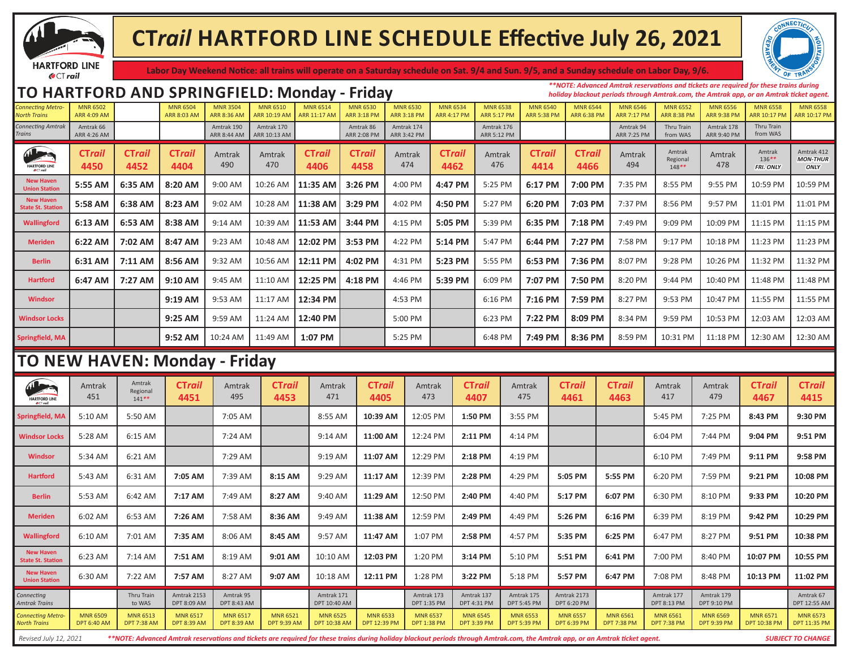

## **CT***rail* **HARTFORD LINE SCHEDULE Effective July 26, 2021**



**Labor Day Weekend Notice: all trains will operate on a Saturday schedule on Sat. 9/4 and Sun. 9/5, and a Sunday schedule on Labor Day, 9/6.**

## FRIMGRIELD: MONDAY - Friday MARS 6502 MONDAY - MARS 6502 MARS 6502 MARS 6504 MARS 6504 MARS 6502 MARS 6502 MARS 6502 MARS 6502 MARS 6502 MARS 6504 MARS 6504 MARS 6502 MARS 6502 MARS 6502 MARS 6502 MARS 6502 MARS 6502 MARS

*\*\*NOTE: Advanced Amtrak reservations and tickets are required for these trains during holiday blackout periods through Amtrak.com, the Amtrak app, or an Amtrak ticket agent.*

| <b>UNILLELING IVIELIU</b><br><b>North Trains</b> | <b>INITIAL OPPORT</b><br><b>ARR 4:09 AM</b> |                                       | <b>INITIAL OPPORT</b><br><b>ARR 8:03 AM</b> | <b>PULLENT DE</b><br><b>ARR 8:36 AM</b> | <b>IVIIVIN UJIU</b><br>ARR 10:19 AM   | <b>INIIAII</b> OPTH<br><b>ARR 11:17 AM</b> | <b>INITIAL OPPORT</b><br><b>ARR 3:18 PM</b> | <b>INITIAL OPPORT</b><br><b>ARR 3:18 PM</b> | <b>HAILAIL OPPIAI</b><br><b>ARR 4:17 PM</b> | <b>INIIAII</b> OPPO<br><b>ARR 5:17 PM</b> | ט <del>וי</del> כט וועו<br><b>ARR 5:38 PM</b> | <b>HAILAIL</b><br><b>ARR 6:38 PM</b>  | <b>UNITED</b><br><b>ARR 7:17 PM</b>   | <b>TALLALL OPPIAL</b><br><b>ARR 8:38 PM</b> | סככט חיוויו<br><b>ARR 9:38 PM</b>     | <b>INIIAII</b> OPPO<br>ARR 10:17 PM | טככט וואוואו<br>ARR 10:17 PM           |
|--------------------------------------------------|---------------------------------------------|---------------------------------------|---------------------------------------------|-----------------------------------------|---------------------------------------|--------------------------------------------|---------------------------------------------|---------------------------------------------|---------------------------------------------|-------------------------------------------|-----------------------------------------------|---------------------------------------|---------------------------------------|---------------------------------------------|---------------------------------------|-------------------------------------|----------------------------------------|
| <b>Connecting Amtrak</b><br>Trains               | Amtrak 66<br><b>ARR 4:26 AM</b>             |                                       |                                             | Amtrak 190<br>ARR 8:44 AM               | Amtrak 170<br>ARR 10:13 AM            |                                            | Amtrak 86<br>ARR 2:08 PM                    | Amtrak 174<br>ARR 3:42 PM                   |                                             | Amtrak 176<br>ARR 5:12 PM                 |                                               |                                       | Amtrak 94<br><b>ARR 7:25 PM</b>       | Thru Train<br>from WAS                      | Amtrak 178<br>ARR 9:40 PM             | Thru Train<br>from WAS              |                                        |
| AL<br><b>HARTFORD LINE</b>                       | CTrail<br>4450                              | CTrail<br>4452                        | CTrail<br>4404                              | Amtrak<br>490                           | Amtrak<br>470                         | CTrail<br>4406                             | <b>CTrail</b><br>4458                       | Amtrak<br>474                               | <b>CTrail</b><br>4462                       | Amtrak<br>476                             | CTrail<br>4414                                | CTrail<br>4466                        | Amtrak<br>494                         | Amtrak<br>Regional<br>148**                 | Amtrak<br>478                         | Amtrak<br>136**<br><b>FRI. ONLY</b> | Amtrak 412<br><b>MON-THUR</b><br>ONLY  |
| <b>New Haven</b><br><b>Union Station</b>         | 5:55 AM                                     | 6:35 AM                               | 8:20 AM                                     | 9:00 AM                                 | 10:26 AM                              | 11:35 AM                                   | 3:26 PM                                     | 4:00 PM                                     | 4:47 PM                                     | 5:25 PM                                   | 6:17 PM                                       | 7:00 PM                               | 7:35 PM                               | 8:55 PM                                     | 9:55 PM                               | 10:59 PM                            | 10:59 PM                               |
| <b>New Haver</b><br><b>State St. Station</b>     | 5:58 AM                                     | 6:38 AM                               | 8:23 AM                                     | 9:02 AM                                 | 10:28 AM                              | 11:38 AM                                   | 3:29 PM                                     | 4:02 PM                                     | 4:50 PM                                     | 5:27 PM                                   | 6:20 PM                                       | 7:03 PM                               | 7:37 PM                               | 8:56 PM                                     | 9:57 PM                               | 11:01 PM                            | 11:01 PM                               |
| Wallingford                                      | 6:13 AM                                     | 6:53 AM                               | 8:38 AM                                     | 9:14 AM                                 | 10:39 AM                              | 11:53 AM                                   | 3:44 PM                                     | 4:15 PM                                     | 5:05 PM                                     | 5:39 PM                                   | 6:35 PM                                       | 7:18 PM                               | 7:49 PM                               | 9:09 PM                                     | 10:09 PM                              | 11:15 PM                            | 11:15 PM                               |
| <b>Meriden</b>                                   | 6:22 AM                                     | 7:02 AM                               | 8:47 AM                                     | 9:23 AM                                 | 10:48 AM                              | 12:02 PM                                   | 3:53 PM                                     | 4:22 PM                                     | 5:14 PM                                     | 5:47 PM                                   | 6:44 PM                                       | 7:27 PM                               | 7:58 PM                               | 9:17 PM                                     | 10:18 PM                              | 11:23 PM                            | 11:23 PM                               |
| <b>Berlin</b>                                    | 6:31 AM                                     | 7:11 AM                               | 8:56 AM                                     | 9:32 AM                                 | 10:56 AM                              | 12:11 PM                                   | 4:02 PM                                     | 4:31 PM                                     | 5:23 PM                                     | 5:55 PM                                   | 6:53 PM                                       | 7:36 PM                               | 8:07 PM                               | 9:28 PM                                     | 10:26 PM                              | 11:32 PM                            | 11:32 PM                               |
| <b>Hartford</b>                                  | 6:47 AM                                     | 7:27 AM                               | 9:10 AM                                     | 9:45 AM                                 | 11:10 AM                              | 12:25 PM                                   | 4:18 PM                                     | 4:46 PM                                     | 5:39 PM                                     | 6:09 PM                                   | 7:07 PM                                       | 7:50 PM                               | 8:20 PM                               | 9:44 PM                                     | 10:40 PM                              | 11:48 PM                            | 11:48 PM                               |
| <b>Windsor</b>                                   |                                             |                                       | 9:19 AM                                     | 9:53 AM                                 | 11:17 AM                              | 12:34 PM                                   |                                             | 4:53 PM                                     |                                             | 6:16 PM                                   | 7:16 PM                                       | 7:59 PM                               | 8:27 PM                               | 9:53 PM                                     | 10:47 PM                              | 11:55 PM                            | 11:55 PM                               |
| Windsor Locks                                    |                                             |                                       | 9:25 AM                                     | 9:59 AM                                 | 11:24 AM                              | 12:40 PM                                   |                                             | 5:00 PM                                     |                                             | 6:23 PM                                   | 7:22 PM                                       | 8:09 PM                               | 8:34 PM                               | 9:59 PM                                     | 10:53 PM                              | 12:03 AM                            | 12:03 AM                               |
| <b>Springfield, MA</b>                           |                                             |                                       | 9:52 AM                                     | 10:24 AM                                | 11:49 AM                              | 1:07 PM                                    |                                             | 5:25 PM                                     |                                             | 6:48 PM                                   | 7:49 PM                                       | 8:36 PM                               | 8:59 PM                               | 10:31 PM                                    | 11:18 PM                              | 12:30 AM                            | 12:30 AM                               |
| TO NEW HAVEN: Monday - Friday                    |                                             |                                       |                                             |                                         |                                       |                                            |                                             |                                             |                                             |                                           |                                               |                                       |                                       |                                             |                                       |                                     |                                        |
|                                                  |                                             |                                       |                                             |                                         |                                       |                                            |                                             |                                             |                                             |                                           |                                               |                                       |                                       |                                             |                                       |                                     |                                        |
| <b>HARTFORD LINE</b>                             | Amtrak<br>451                               | Amtrak<br>Regional<br>$141**$         | <b>CTrail</b><br>4451                       | Amtrak<br>495                           | <b>CTrail</b><br>4453                 | Amtrak<br>471                              | <b>CTrail</b><br>4405                       | Amtrak<br>473                               |                                             | <b>CTrail</b><br>4407                     | Amtrak<br>475                                 | CTrail<br>4461                        | CTrail<br>4463                        | Amtrak<br>417                               | Amtrak<br>479                         | <b>CTrail</b><br>4467               | CTrail<br>4415                         |
| Springfield, MA                                  | 5:10 AM                                     | 5:50 AM                               |                                             | 7:05 AM                                 |                                       | 8:55 AM                                    | 10:39 AM                                    | 12:05 PM                                    |                                             | 1:50 PM                                   | 3:55 PM                                       |                                       |                                       | 5:45 PM                                     | 7:25 PM                               | 8:43 PM                             | 9:30 PM                                |
| <b>Windsor Locks</b>                             | 5:28 AM                                     | 6:15 AM                               |                                             | 7:24 AM                                 |                                       | 9:14 AM                                    | 11:00 AM                                    | 12:24 PM                                    |                                             | 2:11 PM                                   | 4:14 PM                                       |                                       |                                       | 6:04 PM                                     | 7:44 PM                               | 9:04 PM                             | 9:51 PM                                |
| Windsor                                          | 5:34 AM                                     | 6:21 AM                               |                                             | 7:29 AM                                 |                                       | 9:19 AM                                    | 11:07 AM                                    | 12:29 PM                                    |                                             | 2:18 PM                                   | 4:19 PM                                       |                                       |                                       | 6:10 PM                                     | 7:49 PM                               | 9:11 PM                             | 9:58 PM                                |
| <b>Hartford</b>                                  | 5:43 AM                                     | 6:31 AM                               | 7:05 AM                                     | 7:39 AM                                 | 8:15 AM                               | 9:29 AM                                    | 11:17 AM                                    | 12:39 PM                                    |                                             | 2:28 PM                                   | 4:29 PM                                       | 5:05 PM                               | 5:55 PM                               | 6:20 PM                                     | 7:59 PM                               | 9:21 PM                             | 10:08 PM                               |
| <b>Berlin</b>                                    | 5:53 AM                                     | 6:42 AM                               | 7:17 AM                                     | 7:49 AM                                 | 8:27 AM                               | 9:40 AM                                    | 11:29 AM                                    | 12:50 PM                                    |                                             | 2:40 PM                                   | 4:40 PM                                       | 5:17 PM                               | 6:07 PM                               | 6:30 PM                                     | 8:10 PM                               | 9:33 PM                             | 10:20 PM                               |
| <b>Meriden</b>                                   | 6:02 AM                                     | 6:53 AM                               | 7:26 AM                                     | 7:58 AM                                 | 8:36 AM                               | 9:49 AM                                    | 11:38 AM                                    | 12:59 PM                                    |                                             | 2:49 PM                                   | 4:49 PM                                       | 5:26 PM                               | 6:16 PM                               | 6:39 PM                                     | 8:19 PM                               | 9:42 PM                             | 10:29 PM                               |
| <b>Wallingford</b>                               | 6:10 AM                                     | 7:01 AM                               | 7:35 AM                                     | 8:06 AM                                 | 8:45 AM                               | 9:57 AM                                    | 11:47 AM                                    | 1:07 PM                                     |                                             | 2:58 PM                                   | 4:57 PM                                       | 5:35 PM                               | 6:25 PM                               | 6:47 PM                                     | 8:27 PM                               | 9:51 PM                             | 10:38 PM                               |
| <b>New Haven</b><br><b>State St. Station</b>     | 6:23 AM                                     | 7:14 AM                               | 7:51 AM                                     | 8:19 AM                                 | 9:01 AM                               | 10:10 AM                                   | 12:03 PM                                    | 1:20 PM                                     |                                             | 3:14 PM                                   | 5:10 PM                                       | 5:51 PM                               | 6:41 PM                               | 7:00 PM                                     | 8:40 PM                               | 10:07 PM                            | 10:55 PM                               |
| <b>New Haven</b><br><b>Union Station</b>         | 6:30 AM                                     | 7:22 AM                               | 7:57 AM                                     | 8:27 AM                                 | 9:07 AM                               | 10:18 AM                                   | 12:11 PM                                    | 1:28 PM                                     |                                             | 3:22 PM                                   | 5:18 PM                                       | 5:57 PM                               | 6:47 PM                               | 7:08 PM                                     | 8:48 PM                               | 10:13 PM                            | 11:02 PM                               |
| Connectina<br><b>Amtrak Trains</b>               |                                             | Thru Train<br>to WAS                  | Amtrak 2153<br>DPT 8:09 AM                  | Amtrak 95<br><b>DPT 8:43 AM</b>         |                                       | Amtrak 171<br>DPT 10:40 AM                 |                                             | Amtrak 173<br>DPT 1:35 PM                   |                                             | Amtrak 137<br>DPT 4:31 PM                 | Amtrak 175<br><b>DPT 5:45 PM</b>              | Amtrak 2173<br>DPT 6:20 PM            |                                       | Amtrak 177<br>DPT 8:13 PM                   | Amtrak 179<br>DPT 9:10 PM             |                                     | Amtrak 67<br>DPT 12:55 AM              |
| <b>Connecting Metro-</b><br><b>North Trains</b>  | <b>MNR 6509</b><br><b>DPT 6:40 AM</b>       | <b>MNR 6513</b><br><b>DPT 7:38 AM</b> | <b>MNR 6517</b><br><b>DPT 8:39 AM</b>       | <b>MNR 6517</b><br><b>DPT 8:39 AM</b>   | <b>MNR 6521</b><br><b>DPT 9:39 AM</b> | <b>MNR 6525</b><br><b>DPT 10:38 AM</b>     | <b>MNR 6533</b><br><b>DPT 12:39 PM</b>      | <b>MNR 6537</b><br><b>DPT 1:38 PM</b>       |                                             | <b>MNR 6545</b><br><b>DPT 3:39 PM</b>     | <b>MNR 6553</b><br><b>DPT 5:39 PM</b>         | <b>MNR 6557</b><br><b>DPT 6:39 PM</b> | <b>MNR 6561</b><br><b>DPT 7:38 PM</b> | <b>MNR 6561</b><br><b>DPT 7:38 PM</b>       | <b>MNR 6569</b><br><b>DPT 9:39 PM</b> | <b>MNR 6571</b><br>DPT 10:38 PM     | <b>MNR 6573</b><br><b>DPT 11:35 PM</b> |